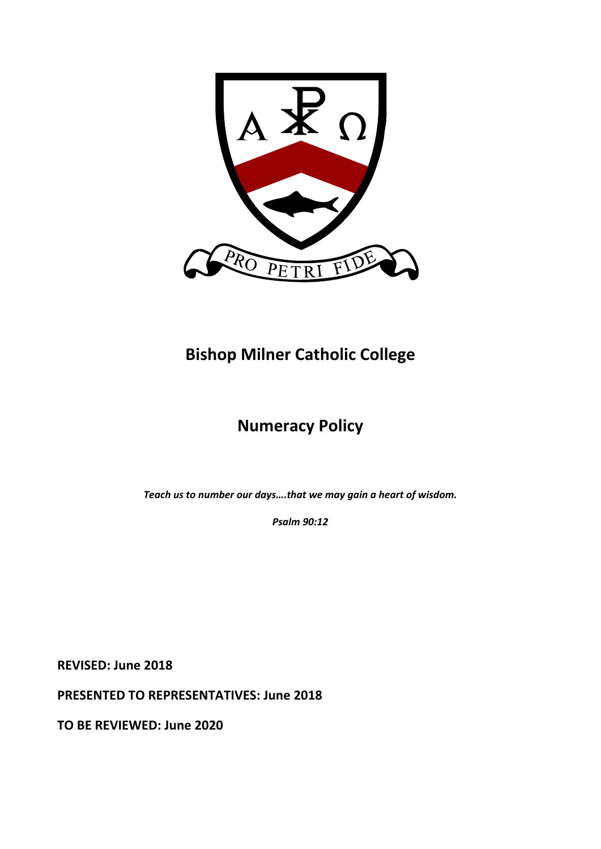

# **Bishop Milner Catholic College**

# **Numeracy Policy**

*Teach us to number our days….that we may gain a heart of wisdom.* 

*Psalm 90:12* 

**REVISED: June 2018** 

**PRESENTED TO REPRESENTATIVES: June 2018** 

**TO BE REVIEWED: June 2020**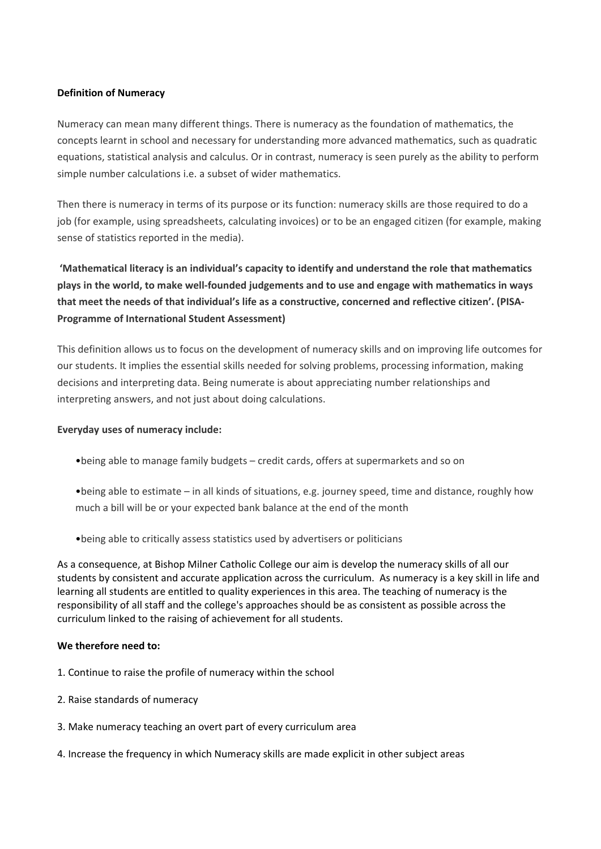### **Definition of Numeracy**

Numeracy can mean many different things. There is numeracy as the foundation of mathematics, the concepts learnt in school and necessary for understanding more advanced mathematics, such as quadratic equations, statistical analysis and calculus. Or in contrast, numeracy is seen purely as the ability to perform simple number calculations i.e. a subset of wider mathematics.

Then there is numeracy in terms of its purpose or its function: numeracy skills are those required to do a job (for example, using spreadsheets, calculating invoices) or to be an engaged citizen (for example, making sense of statistics reported in the media).

 **'Mathematical literacy is an individual's capacity to identify and understand the role that mathematics plays in the world, to make well‐founded judgements and to use and engage with mathematics in ways that meet the needs of that individual's life as a constructive, concerned and reflective citizen'. (PISA‐ Programme of International Student Assessment)** 

This definition allows us to focus on the development of numeracy skills and on improving life outcomes for our students. It implies the essential skills needed for solving problems, processing information, making decisions and interpreting data. Being numerate is about appreciating number relationships and interpreting answers, and not just about doing calculations.

#### **Everyday uses of numeracy include:**

- •being able to manage family budgets credit cards, offers at supermarkets and so on
- •being able to estimate in all kinds of situations, e.g. journey speed, time and distance, roughly how much a bill will be or your expected bank balance at the end of the month
- •being able to critically assess statistics used by advertisers or politicians

As a consequence, at Bishop Milner Catholic College our aim is develop the numeracy skills of all our students by consistent and accurate application across the curriculum. As numeracy is a key skill in life and learning all students are entitled to quality experiences in this area. The teaching of numeracy is the responsibility of all staff and the college's approaches should be as consistent as possible across the curriculum linked to the raising of achievement for all students.

#### We therefore need to:

- 1. Continue to raise the profile of numeracy within the school
- 2. Raise standards of numeracy
- 3. Make numeracy teaching an overt part of every curriculum area
- 4. Increase the frequency in which Numeracy skills are made explicit in other subject areas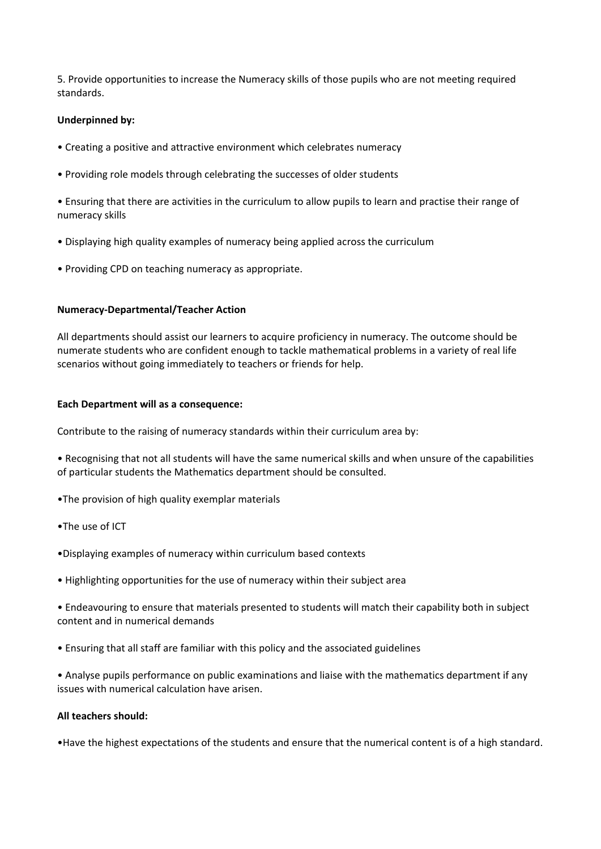5. Provide opportunities to increase the Numeracy skills of those pupils who are not meeting required standards.

### **Underpinned by:**

- Creating a positive and attractive environment which celebrates numeracy
- Providing role models through celebrating the successes of older students

• Ensuring that there are activities in the curriculum to allow pupils to learn and practise their range of numeracy skills

- Displaying high quality examples of numeracy being applied across the curriculum
- Providing CPD on teaching numeracy as appropriate.

#### **Numeracy‐Departmental/Teacher Action**

All departments should assist our learners to acquire proficiency in numeracy. The outcome should be numerate students who are confident enough to tackle mathematical problems in a variety of real life scenarios without going immediately to teachers or friends for help.

#### **Each Department will as a consequence:**

Contribute to the raising of numeracy standards within their curriculum area by:

• Recognising that not all students will have the same numerical skills and when unsure of the capabilities of particular students the Mathematics department should be consulted.

- •The provision of high quality exemplar materials
- •The use of ICT
- •Displaying examples of numeracy within curriculum based contexts
- Highlighting opportunities for the use of numeracy within their subject area
- Endeavouring to ensure that materials presented to students will match their capability both in subject content and in numerical demands
- Ensuring that all staff are familiar with this policy and the associated guidelines

• Analyse pupils performance on public examinations and liaise with the mathematics department if any issues with numerical calculation have arisen.

#### **All teachers should:**

•Have the highest expectations of the students and ensure that the numerical content is of a high standard.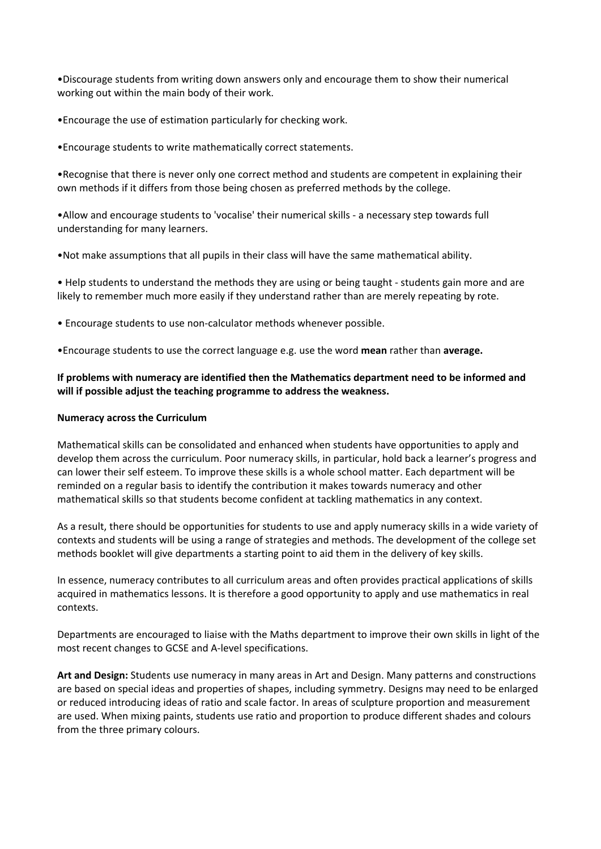•Discourage students from writing down answers only and encourage them to show their numerical working out within the main body of their work.

•Encourage the use of estimation particularly for checking work.

•Encourage students to write mathematically correct statements.

•Recognise that there is never only one correct method and students are competent in explaining their own methods if it differs from those being chosen as preferred methods by the college.

•Allow and encourage students to 'vocalise' their numerical skills ‐ a necessary step towards full understanding for many learners.

•Not make assumptions that all pupils in their class will have the same mathematical ability.

• Help students to understand the methods they are using or being taught ‐ students gain more and are likely to remember much more easily if they understand rather than are merely repeating by rote.

• Encourage students to use non‐calculator methods whenever possible.

•Encourage students to use the correct language e.g. use the word **mean** rather than **average.**

### **If problems with numeracy are identified then the Mathematics department need to be informed and will if possible adjust the teaching programme to address the weakness.**

#### **Numeracy across the Curriculum**

Mathematical skills can be consolidated and enhanced when students have opportunities to apply and develop them across the curriculum. Poor numeracy skills, in particular, hold back a learner's progress and can lower their self esteem. To improve these skills is a whole school matter. Each department will be reminded on a regular basis to identify the contribution it makes towards numeracy and other mathematical skills so that students become confident at tackling mathematics in any context.

As a result, there should be opportunities for students to use and apply numeracy skills in a wide variety of contexts and students will be using a range of strategies and methods. The development of the college set methods booklet will give departments a starting point to aid them in the delivery of key skills.

In essence, numeracy contributes to all curriculum areas and often provides practical applications of skills acquired in mathematics lessons. It is therefore a good opportunity to apply and use mathematics in real contexts.

Departments are encouraged to liaise with the Maths department to improve their own skills in light of the most recent changes to GCSE and A‐level specifications.

**Art and Design:** Students use numeracy in many areas in Art and Design. Many patterns and constructions are based on special ideas and properties of shapes, including symmetry. Designs may need to be enlarged or reduced introducing ideas of ratio and scale factor. In areas of sculpture proportion and measurement are used. When mixing paints, students use ratio and proportion to produce different shades and colours from the three primary colours.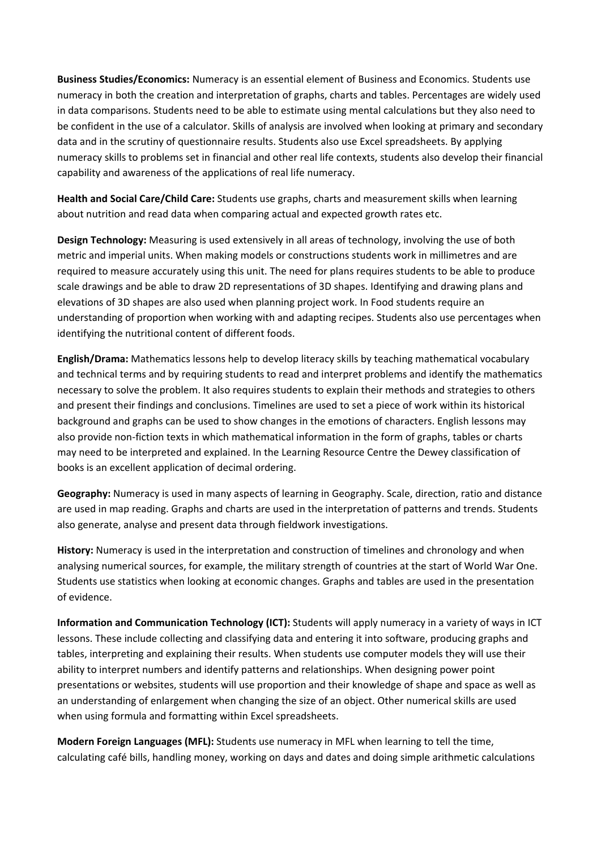**Business Studies/Economics:** Numeracy is an essential element of Business and Economics. Students use numeracy in both the creation and interpretation of graphs, charts and tables. Percentages are widely used in data comparisons. Students need to be able to estimate using mental calculations but they also need to be confident in the use of a calculator. Skills of analysis are involved when looking at primary and secondary data and in the scrutiny of questionnaire results. Students also use Excel spreadsheets. By applying numeracy skills to problems set in financial and other real life contexts, students also develop their financial capability and awareness of the applications of real life numeracy.

**Health and Social Care/Child Care:** Students use graphs, charts and measurement skills when learning about nutrition and read data when comparing actual and expected growth rates etc.

**Design Technology:** Measuring is used extensively in all areas of technology, involving the use of both metric and imperial units. When making models or constructions students work in millimetres and are required to measure accurately using this unit. The need for plans requires students to be able to produce scale drawings and be able to draw 2D representations of 3D shapes. Identifying and drawing plans and elevations of 3D shapes are also used when planning project work. In Food students require an understanding of proportion when working with and adapting recipes. Students also use percentages when identifying the nutritional content of different foods.

**English/Drama:** Mathematics lessons help to develop literacy skills by teaching mathematical vocabulary and technical terms and by requiring students to read and interpret problems and identify the mathematics necessary to solve the problem. It also requires students to explain their methods and strategies to others and present their findings and conclusions. Timelines are used to set a piece of work within its historical background and graphs can be used to show changes in the emotions of characters. English lessons may also provide non‐fiction texts in which mathematical information in the form of graphs, tables or charts may need to be interpreted and explained. In the Learning Resource Centre the Dewey classification of books is an excellent application of decimal ordering.

**Geography:** Numeracy is used in many aspects of learning in Geography. Scale, direction, ratio and distance are used in map reading. Graphs and charts are used in the interpretation of patterns and trends. Students also generate, analyse and present data through fieldwork investigations.

**History:** Numeracy is used in the interpretation and construction of timelines and chronology and when analysing numerical sources, for example, the military strength of countries at the start of World War One. Students use statistics when looking at economic changes. Graphs and tables are used in the presentation of evidence.

**Information and Communication Technology (ICT):** Students will apply numeracy in a variety of ways in ICT lessons. These include collecting and classifying data and entering it into software, producing graphs and tables, interpreting and explaining their results. When students use computer models they will use their ability to interpret numbers and identify patterns and relationships. When designing power point presentations or websites, students will use proportion and their knowledge of shape and space as well as an understanding of enlargement when changing the size of an object. Other numerical skills are used when using formula and formatting within Excel spreadsheets.

**Modern Foreign Languages (MFL):** Students use numeracy in MFL when learning to tell the time, calculating café bills, handling money, working on days and dates and doing simple arithmetic calculations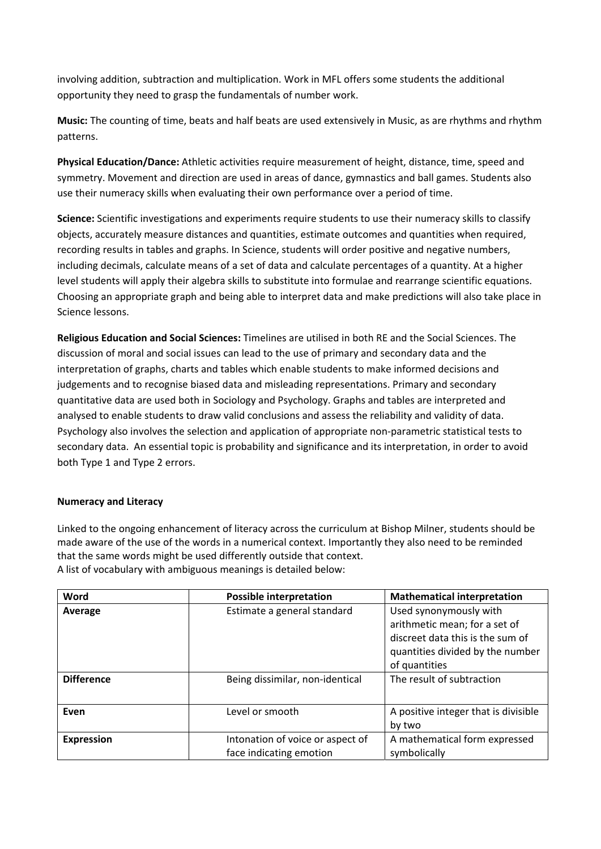involving addition, subtraction and multiplication. Work in MFL offers some students the additional opportunity they need to grasp the fundamentals of number work.

**Music:** The counting of time, beats and half beats are used extensively in Music, as are rhythms and rhythm patterns.

**Physical Education/Dance:** Athletic activities require measurement of height, distance, time, speed and symmetry. Movement and direction are used in areas of dance, gymnastics and ball games. Students also use their numeracy skills when evaluating their own performance over a period of time.

**Science:** Scientific investigations and experiments require students to use their numeracy skills to classify objects, accurately measure distances and quantities, estimate outcomes and quantities when required, recording results in tables and graphs. In Science, students will order positive and negative numbers, including decimals, calculate means of a set of data and calculate percentages of a quantity. At a higher level students will apply their algebra skills to substitute into formulae and rearrange scientific equations. Choosing an appropriate graph and being able to interpret data and make predictions will also take place in Science lessons.

**Religious Education and Social Sciences:** Timelines are utilised in both RE and the Social Sciences. The discussion of moral and social issues can lead to the use of primary and secondary data and the interpretation of graphs, charts and tables which enable students to make informed decisions and judgements and to recognise biased data and misleading representations. Primary and secondary quantitative data are used both in Sociology and Psychology. Graphs and tables are interpreted and analysed to enable students to draw valid conclusions and assess the reliability and validity of data. Psychology also involves the selection and application of appropriate non‐parametric statistical tests to secondary data. An essential topic is probability and significance and its interpretation, in order to avoid both Type 1 and Type 2 errors.

## **Numeracy and Literacy**

Linked to the ongoing enhancement of literacy across the curriculum at Bishop Milner, students should be made aware of the use of the words in a numerical context. Importantly they also need to be reminded that the same words might be used differently outside that context. A list of vocabulary with ambiguous meanings is detailed below:

| Word              | <b>Possible interpretation</b>   | <b>Mathematical interpretation</b>   |
|-------------------|----------------------------------|--------------------------------------|
| Average           | Estimate a general standard      | Used synonymously with               |
|                   |                                  | arithmetic mean; for a set of        |
|                   |                                  | discreet data this is the sum of     |
|                   |                                  | quantities divided by the number     |
|                   |                                  | of quantities                        |
| <b>Difference</b> | Being dissimilar, non-identical  | The result of subtraction            |
|                   |                                  |                                      |
| Even              | Level or smooth                  | A positive integer that is divisible |
|                   |                                  | by two                               |
| <b>Expression</b> | Intonation of voice or aspect of | A mathematical form expressed        |
|                   | face indicating emotion          | symbolically                         |